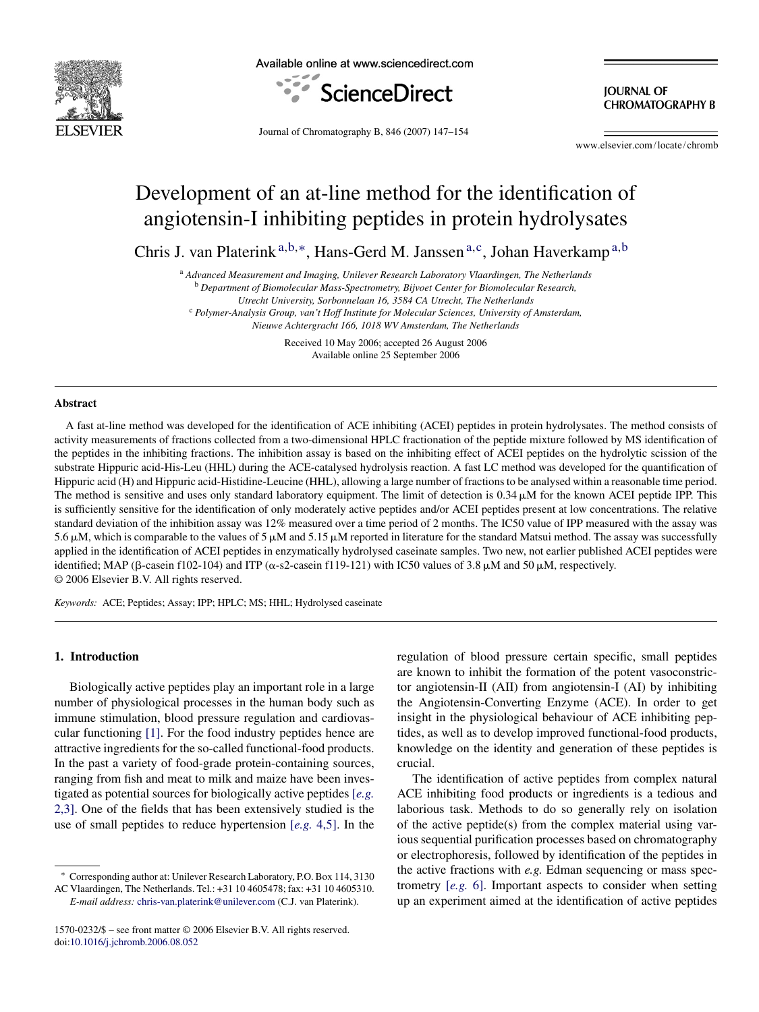

Available online at www.sciencedirect.com



**JOURNAL OF CHROMATOGRAPHY B** 

Journal of Chromatography B, 846 (2007) 147–154

www.elsevier.com/locate/chromb

# Development of an at-line method for the identification of angiotensin-I inhibiting peptides in protein hydrolysates

Chris J. van Platerink<sup>a,b,∗</sup>, Hans-Gerd M. Janssen<sup>a,c</sup>, Johan Haverkamp<sup>a,b</sup>

<sup>a</sup> *Advanced Measurement and Imaging, Unilever Research Laboratory Vlaardingen, The Netherlands*

<sup>b</sup> *Department of Biomolecular Mass-Spectrometry, Bijvoet Center for Biomolecular Research,*

*Utrecht University, Sorbonnelaan 16, 3584 CA Utrecht, The Netherlands*

<sup>c</sup> *Polymer-Analysis Group, van't Hoff Institute for Molecular Sciences, University of Amsterdam,*

*Nieuwe Achtergracht 166, 1018 WV Amsterdam, The Netherlands*

Received 10 May 2006; accepted 26 August 2006 Available online 25 September 2006

#### **Abstract**

A fast at-line method was developed for the identification of ACE inhibiting (ACEI) peptides in protein hydrolysates. The method consists of activity measurements of fractions collected from a two-dimensional HPLC fractionation of the peptide mixture followed by MS identification of the peptides in the inhibiting fractions. The inhibition assay is based on the inhibiting effect of ACEI peptides on the hydrolytic scission of the substrate Hippuric acid-His-Leu (HHL) during the ACE-catalysed hydrolysis reaction. A fast LC method was developed for the quantification of Hippuric acid (H) and Hippuric acid-Histidine-Leucine (HHL), allowing a large number of fractions to be analysed within a reasonable time period. The method is sensitive and uses only standard laboratory equipment. The limit of detection is  $0.34 \mu$ M for the known ACEI peptide IPP. This is sufficiently sensitive for the identification of only moderately active peptides and/or ACEI peptides present at low concentrations. The relative standard deviation of the inhibition assay was 12% measured over a time period of 2 months. The IC50 value of IPP measured with the assay was 5.6  $\mu$ M, which is comparable to the values of 5  $\mu$ M and 5.15  $\mu$ M reported in literature for the standard Matsui method. The assay was successfully applied in the identification of ACEI peptides in enzymatically hydrolysed caseinate samples. Two new, not earlier published ACEI peptides were identified; MAP ( $\beta$ -casein f102-104) and ITP ( $\alpha$ -s2-casein f119-121) with IC50 values of 3.8  $\mu$ M and 50  $\mu$ M, respectively. © 2006 Elsevier B.V. All rights reserved.

*Keywords:* ACE; Peptides; Assay; IPP; HPLC; MS; HHL; Hydrolysed caseinate

#### **1. Introduction**

Biologically active peptides play an important role in a large number of physiological processes in the human body such as immune stimulation, blood pressure regulation and cardiovascular functioning [\[1\].](#page-7-0) For the food industry peptides hence are attractive ingredients for the so-called functional-food products. In the past a variety of food-grade protein-containing sources, ranging from fish and meat to milk and maize have been investigated as potential sources for biologically active peptides [*[e.g.](#page-7-0)* [2,3\].](#page-7-0) One of the fields that has been extensively studied is the use of small peptides to reduce hypertension [*[e.g.](#page-7-0)* [4,5\].](#page-7-0) In the regulation of blood pressure certain specific, small peptides are known to inhibit the formation of the potent vasoconstrictor angiotensin-II (AII) from angiotensin-I (AI) by inhibiting the Angiotensin-Converting Enzyme (ACE). In order to get insight in the physiological behaviour of ACE inhibiting peptides, as well as to develop improved functional-food products, knowledge on the identity and generation of these peptides is crucial.

The identification of active peptides from complex natural ACE inhibiting food products or ingredients is a tedious and laborious task. Methods to do so generally rely on isolation of the active peptide(s) from the complex material using various sequential purification processes based on chromatography or electrophoresis, followed by identification of the peptides in the active fractions with *e.g.* Edman sequencing or mass spectrometry [*[e.g.](#page-7-0)* [6\].](#page-7-0) Important aspects to consider when setting up an experiment aimed at the identification of active peptides

Corresponding author at: Unilever Research Laboratory, P.O. Box 114, 3130 AC Vlaardingen, The Netherlands. Tel.: +31 10 4605478; fax: +31 10 4605310.

*E-mail address:* [chris-van.platerink@unilever.com](mailto:chris-van.platerink@unilever.com) (C.J. van Platerink).

<sup>1570-0232/\$ –</sup> see front matter © 2006 Elsevier B.V. All rights reserved. doi[:10.1016/j.jchromb.2006.08.052](dx.doi.org/10.1016/j.jchromb.2006.08.052)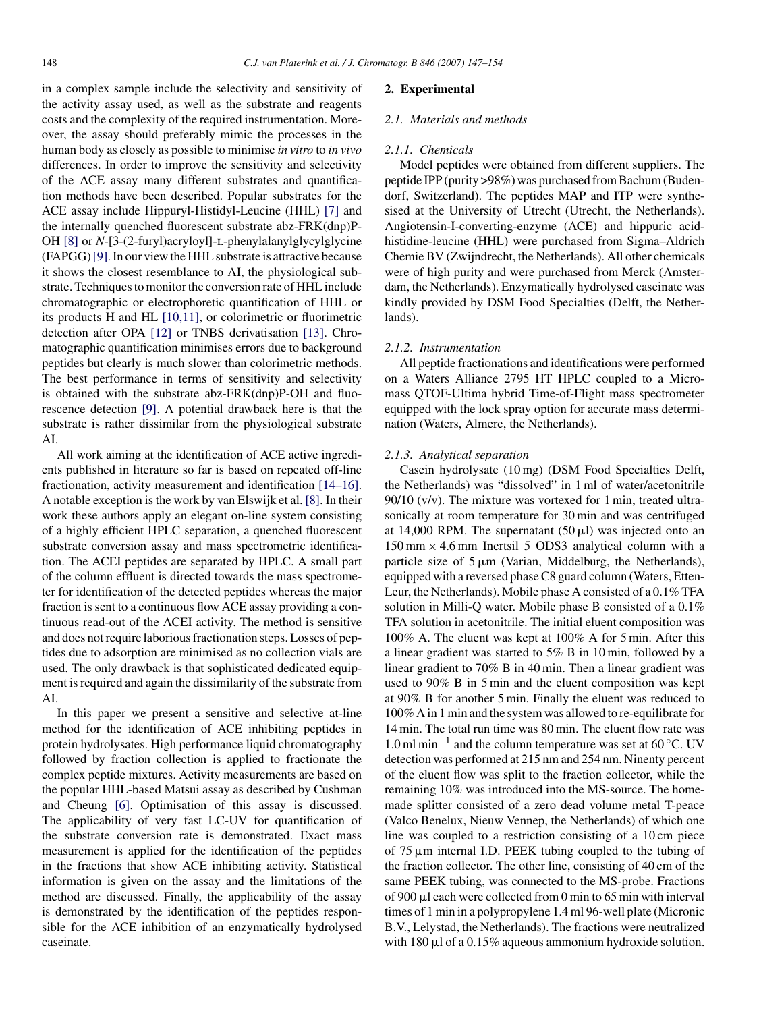in a complex sample include the selectivity and sensitivity of the activity assay used, as well as the substrate and reagents costs and the complexity of the required instrumentation. Moreover, the assay should preferably mimic the processes in the human body as closely as possible to minimise *in vitro* to *in vivo* differences. In order to improve the sensitivity and selectivity of the ACE assay many different substrates and quantification methods have been described. Popular substrates for the ACE assay include Hippuryl-Histidyl-Leucine (HHL) [\[7\]](#page-7-0) and the internally quenched fluorescent substrate abz-FRK(dnp)P-OH [\[8\]](#page-7-0) or *N*-[3-(2-furyl)acryloyl]-L-phenylalanylglycylglycine (FAPGG)[\[9\]. I](#page-7-0)n our view the HHL substrate is attractive because it shows the closest resemblance to AI, the physiological substrate. Techniques to monitor the conversion rate of HHL include chromatographic or electrophoretic quantification of HHL or its products H and HL [\[10,11\],](#page-7-0) or colorimetric or fluorimetric detection after OPA [\[12\]](#page-7-0) or TNBS derivatisation [\[13\].](#page-7-0) Chromatographic quantification minimises errors due to background peptides but clearly is much slower than colorimetric methods. The best performance in terms of sensitivity and selectivity is obtained with the substrate abz-FRK(dnp)P-OH and fluorescence detection [\[9\].](#page-7-0) A potential drawback here is that the substrate is rather dissimilar from the physiological substrate AI.

All work aiming at the identification of ACE active ingredients published in literature so far is based on repeated off-line fractionation, activity measurement and identification [\[14–16\].](#page-7-0) A notable exception is the work by van Elswijk et al. [\[8\]. I](#page-7-0)n their work these authors apply an elegant on-line system consisting of a highly efficient HPLC separation, a quenched fluorescent substrate conversion assay and mass spectrometric identification. The ACEI peptides are separated by HPLC. A small part of the column effluent is directed towards the mass spectrometer for identification of the detected peptides whereas the major fraction is sent to a continuous flow ACE assay providing a continuous read-out of the ACEI activity. The method is sensitive and does not require laborious fractionation steps. Losses of peptides due to adsorption are minimised as no collection vials are used. The only drawback is that sophisticated dedicated equipment is required and again the dissimilarity of the substrate from AI.

In this paper we present a sensitive and selective at-line method for the identification of ACE inhibiting peptides in protein hydrolysates. High performance liquid chromatography followed by fraction collection is applied to fractionate the complex peptide mixtures. Activity measurements are based on the popular HHL-based Matsui assay as described by Cushman and Cheung [\[6\].](#page-7-0) Optimisation of this assay is discussed. The applicability of very fast LC-UV for quantification of the substrate conversion rate is demonstrated. Exact mass measurement is applied for the identification of the peptides in the fractions that show ACE inhibiting activity. Statistical information is given on the assay and the limitations of the method are discussed. Finally, the applicability of the assay is demonstrated by the identification of the peptides responsible for the ACE inhibition of an enzymatically hydrolysed caseinate.

## **2. Experimental**

# *2.1. Materials and methods*

#### *2.1.1. Chemicals*

Model peptides were obtained from different suppliers. The peptide IPP (purity >98%) was purchased from Bachum (Budendorf, Switzerland). The peptides MAP and ITP were synthesised at the University of Utrecht (Utrecht, the Netherlands). Angiotensin-I-converting-enzyme (ACE) and hippuric acidhistidine-leucine (HHL) were purchased from Sigma–Aldrich Chemie BV (Zwijndrecht, the Netherlands). All other chemicals were of high purity and were purchased from Merck (Amsterdam, the Netherlands). Enzymatically hydrolysed caseinate was kindly provided by DSM Food Specialties (Delft, the Netherlands).

#### *2.1.2. Instrumentation*

All peptide fractionations and identifications were performed on a Waters Alliance 2795 HT HPLC coupled to a Micromass QTOF-Ultima hybrid Time-of-Flight mass spectrometer equipped with the lock spray option for accurate mass determination (Waters, Almere, the Netherlands).

#### *2.1.3. Analytical separation*

Casein hydrolysate (10 mg) (DSM Food Specialties Delft, the Netherlands) was "dissolved" in 1 ml of water/acetonitrile 90/10 (v/v). The mixture was vortexed for 1 min, treated ultrasonically at room temperature for 30 min and was centrifuged at 14,000 RPM. The supernatant  $(50 \,\mu\text{J})$  was injected onto an  $150 \text{ mm} \times 4.6 \text{ mm}$  Inertsil 5 ODS3 analytical column with a particle size of  $5 \mu m$  (Varian, Middelburg, the Netherlands), equipped with a reversed phase C8 guard column (Waters, Etten-Leur, the Netherlands). Mobile phase A consisted of a 0.1% TFA solution in Milli-Q water. Mobile phase B consisted of a 0.1% TFA solution in acetonitrile. The initial eluent composition was 100% A. The eluent was kept at 100% A for 5 min. After this a linear gradient was started to 5% B in 10 min, followed by a linear gradient to 70% B in 40 min. Then a linear gradient was used to 90% B in 5 min and the eluent composition was kept at 90% B for another 5 min. Finally the eluent was reduced to 100% A in 1 min and the system was allowed to re-equilibrate for 14 min. The total run time was 80 min. The eluent flow rate was  $1.0$  ml min<sup>-1</sup> and the column temperature was set at 60 °C. UV detection was performed at 215 nm and 254 nm. Ninenty percent of the eluent flow was split to the fraction collector, while the remaining 10% was introduced into the MS-source. The homemade splitter consisted of a zero dead volume metal T-peace (Valco Benelux, Nieuw Vennep, the Netherlands) of which one line was coupled to a restriction consisting of a 10 cm piece of  $75 \mu m$  internal I.D. PEEK tubing coupled to the tubing of the fraction collector. The other line, consisting of 40 cm of the same PEEK tubing, was connected to the MS-probe. Fractions of 900 µl each were collected from 0 min to 65 min with interval times of 1 min in a polypropylene 1.4 ml 96-well plate (Micronic B.V., Lelystad, the Netherlands). The fractions were neutralized with  $180 \mu$ l of a 0.15% aqueous ammonium hydroxide solution.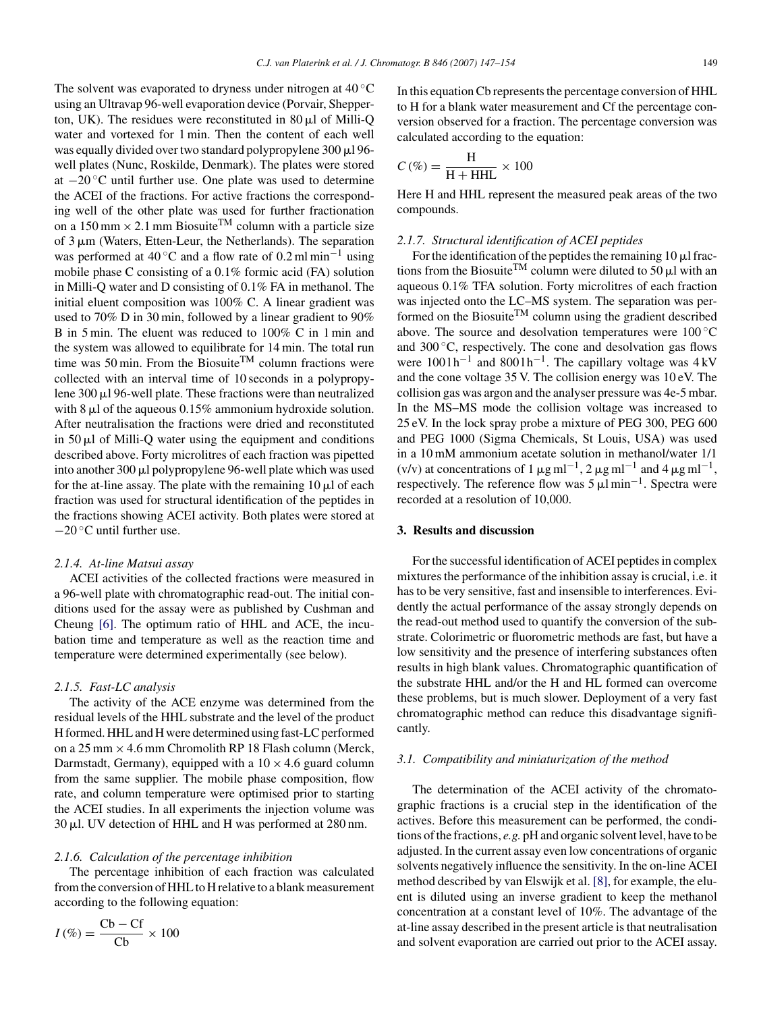The solvent was evaporated to dryness under nitrogen at  $40^{\circ}$ C using an Ultravap 96-well evaporation device (Porvair, Shepperton, UK). The residues were reconstituted in  $80 \mu l$  of Milli-Q water and vortexed for 1 min. Then the content of each well was equally divided over two standard polypropylene 300 µl 96well plates (Nunc, Roskilde, Denmark). The plates were stored at −20 ◦C until further use. One plate was used to determine the ACEI of the fractions. For active fractions the corresponding well of the other plate was used for further fractionation on a 150 mm  $\times$  2.1 mm Biosuite<sup>TM</sup> column with a particle size of 3  $\mu$ m (Waters, Etten-Leur, the Netherlands). The separation was performed at 40 °C and a flow rate of 0.2 ml min<sup>-1</sup> using mobile phase C consisting of a 0.1% formic acid (FA) solution in Milli-Q water and D consisting of 0.1% FA in methanol. The initial eluent composition was 100% C. A linear gradient was used to 70% D in 30 min, followed by a linear gradient to 90% B in 5 min. The eluent was reduced to 100% C in 1 min and the system was allowed to equilibrate for 14 min. The total run time was 50 min. From the Biosuite<sup>TM</sup> column fractions were collected with an interval time of 10 seconds in a polypropylene 300 µl 96-well plate. These fractions were than neutralized with  $8 \mu l$  of the aqueous 0.15% ammonium hydroxide solution. After neutralisation the fractions were dried and reconstituted in  $50 \mu l$  of Milli-Q water using the equipment and conditions described above. Forty microlitres of each fraction was pipetted into another 300 µl polypropylene 96-well plate which was used for the at-line assay. The plate with the remaining  $10 \mu l$  of each fraction was used for structural identification of the peptides in the fractions showing ACEI activity. Both plates were stored at −20 ◦C until further use.

## *2.1.4. At-line Matsui assay*

ACEI activities of the collected fractions were measured in a 96-well plate with chromatographic read-out. The initial conditions used for the assay were as published by Cushman and Cheung [\[6\].](#page-7-0) The optimum ratio of HHL and ACE, the incubation time and temperature as well as the reaction time and temperature were determined experimentally (see below).

# *2.1.5. Fast-LC analysis*

The activity of the ACE enzyme was determined from the residual levels of the HHL substrate and the level of the product H formed. HHL and H were determined using fast-LC performed on a 25 mm  $\times$  4.6 mm Chromolith RP 18 Flash column (Merck, Darmstadt, Germany), equipped with a  $10 \times 4.6$  guard column from the same supplier. The mobile phase composition, flow rate, and column temperature were optimised prior to starting the ACEI studies. In all experiments the injection volume was 30 µl. UV detection of HHL and H was performed at 280 nm.

#### *2.1.6. Calculation of the percentage inhibition*

The percentage inhibition of each fraction was calculated from the conversion of HHL to H relative to a blank measurement according to the following equation:

$$
I(\%) = \frac{\text{Cb} - \text{Cf}}{\text{Cb}} \times 100
$$

In this equation Cb represents the percentage conversion of HHL to H for a blank water measurement and Cf the percentage conversion observed for a fraction. The percentage conversion was calculated according to the equation:

$$
C(\%) = \frac{H}{H + HHL} \times 100
$$

Here H and HHL represent the measured peak areas of the two compounds.

#### *2.1.7. Structural identification of ACEI peptides*

For the identification of the peptides the remaining  $10 \mu$ l fractions from the Biosuite<sup>TM</sup> column were diluted to 50  $\mu$ l with an aqueous 0.1% TFA solution. Forty microlitres of each fraction was injected onto the LC–MS system. The separation was performed on the Biosuite<sup>TM</sup> column using the gradient described above. The source and desolvation temperatures were 100 ◦C and 300 °C, respectively. The cone and desolvation gas flows were  $1001h^{-1}$  and  $8001h^{-1}$ . The capillary voltage was 4 kV and the cone voltage 35 V. The collision energy was 10 eV. The collision gas was argon and the analyser pressure was 4e-5 mbar. In the MS–MS mode the collision voltage was increased to 25 eV. In the lock spray probe a mixture of PEG 300, PEG 600 and PEG 1000 (Sigma Chemicals, St Louis, USA) was used in a 10 mM ammonium acetate solution in methanol/water 1/1 (v/v) at concentrations of 1  $\mu$ g ml<sup>-1</sup>, 2  $\mu$ g ml<sup>-1</sup> and 4  $\mu$ g ml<sup>-1</sup>, respectively. The reference flow was  $5 \mu l \text{min}^{-1}$ . Spectra were recorded at a resolution of 10,000.

# **3. Results and discussion**

For the successful identification of ACEI peptides in complex mixtures the performance of the inhibition assay is crucial, i.e. it has to be very sensitive, fast and insensible to interferences. Evidently the actual performance of the assay strongly depends on the read-out method used to quantify the conversion of the substrate. Colorimetric or fluorometric methods are fast, but have a low sensitivity and the presence of interfering substances often results in high blank values. Chromatographic quantification of the substrate HHL and/or the H and HL formed can overcome these problems, but is much slower. Deployment of a very fast chromatographic method can reduce this disadvantage significantly.

# *3.1. Compatibility and miniaturization of the method*

The determination of the ACEI activity of the chromatographic fractions is a crucial step in the identification of the actives. Before this measurement can be performed, the conditions of the fractions, *e.g.* pH and organic solvent level, have to be adjusted. In the current assay even low concentrations of organic solvents negatively influence the sensitivity. In the on-line ACEI method described by van Elswijk et al. [\[8\], f](#page-7-0)or example, the eluent is diluted using an inverse gradient to keep the methanol concentration at a constant level of 10%. The advantage of the at-line assay described in the present article is that neutralisation and solvent evaporation are carried out prior to the ACEI assay.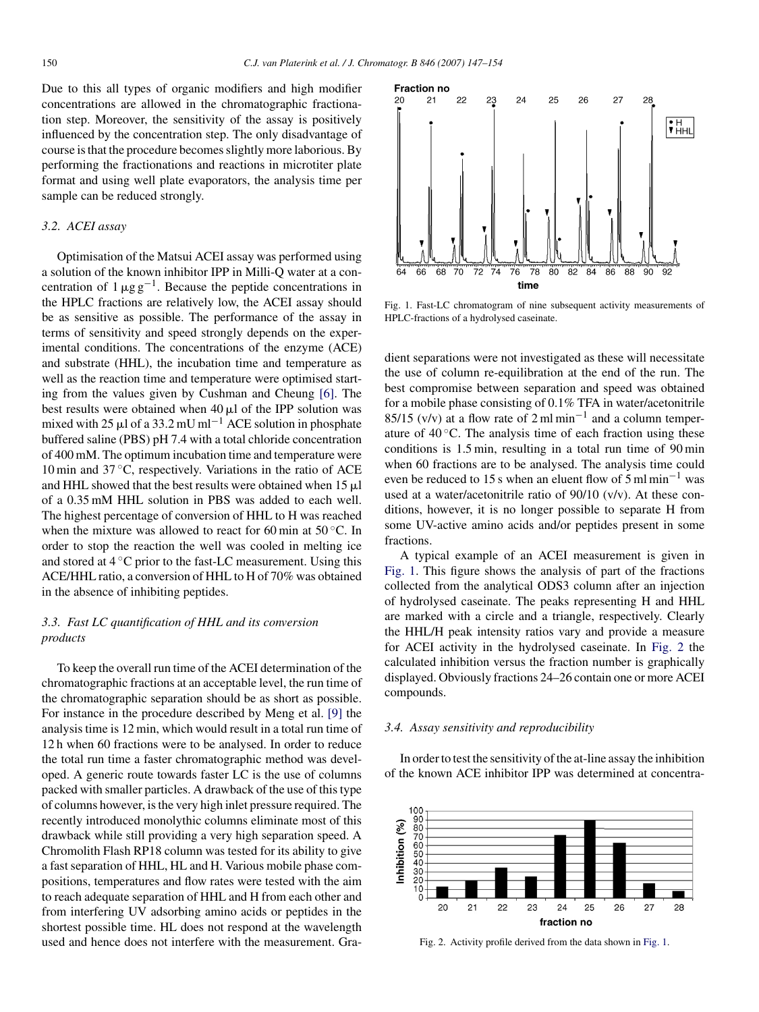Due to this all types of organic modifiers and high modifier concentrations are allowed in the chromatographic fractionation step. Moreover, the sensitivity of the assay is positively influenced by the concentration step. The only disadvantage of course is that the procedure becomes slightly more laborious. By performing the fractionations and reactions in microtiter plate format and using well plate evaporators, the analysis time per sample can be reduced strongly.

## *3.2. ACEI assay*

Optimisation of the Matsui ACEI assay was performed using a solution of the known inhibitor IPP in Milli-Q water at a concentration of  $1 \mu g g^{-1}$ . Because the peptide concentrations in the HPLC fractions are relatively low, the ACEI assay should be as sensitive as possible. The performance of the assay in terms of sensitivity and speed strongly depends on the experimental conditions. The concentrations of the enzyme (ACE) and substrate (HHL), the incubation time and temperature as well as the reaction time and temperature were optimised starting from the values given by Cushman and Cheung [\[6\].](#page-7-0) The best results were obtained when  $40 \mu l$  of the IPP solution was mixed with 25  $\mu$ l of a 33.2 mU ml<sup>-1</sup> ACE solution in phosphate buffered saline (PBS) pH 7.4 with a total chloride concentration of 400 mM. The optimum incubation time and temperature were 10 min and 37 ◦C, respectively. Variations in the ratio of ACE and HHL showed that the best results were obtained when  $15 \mu l$ of a 0.35 mM HHL solution in PBS was added to each well. The highest percentage of conversion of HHL to H was reached when the mixture was allowed to react for 60 min at 50 °C. In order to stop the reaction the well was cooled in melting ice and stored at  $4^\circ$ C prior to the fast-LC measurement. Using this ACE/HHL ratio, a conversion of HHL to H of 70% was obtained in the absence of inhibiting peptides.

# *3.3. Fast LC quantification of HHL and its conversion products*

To keep the overall run time of the ACEI determination of the chromatographic fractions at an acceptable level, the run time of the chromatographic separation should be as short as possible. For instance in the procedure described by Meng et al. [\[9\]](#page-7-0) the analysis time is 12 min, which would result in a total run time of 12 h when 60 fractions were to be analysed. In order to reduce the total run time a faster chromatographic method was developed. A generic route towards faster LC is the use of columns packed with smaller particles. A drawback of the use of this type of columns however, is the very high inlet pressure required. The recently introduced monolythic columns eliminate most of this drawback while still providing a very high separation speed. A Chromolith Flash RP18 column was tested for its ability to give a fast separation of HHL, HL and H. Various mobile phase compositions, temperatures and flow rates were tested with the aim to reach adequate separation of HHL and H from each other and from interfering UV adsorbing amino acids or peptides in the shortest possible time. HL does not respond at the wavelength used and hence does not interfere with the measurement. Gra-



Fig. 1. Fast-LC chromatogram of nine subsequent activity measurements of HPLC-fractions of a hydrolysed caseinate.

dient separations were not investigated as these will necessitate the use of column re-equilibration at the end of the run. The best compromise between separation and speed was obtained for a mobile phase consisting of 0.1% TFA in water/acetonitrile 85/15 (v/v) at a flow rate of 2 ml min−<sup>1</sup> and a column temperature of  $40^{\circ}$ C. The analysis time of each fraction using these conditions is 1.5 min, resulting in a total run time of 90 min when 60 fractions are to be analysed. The analysis time could even be reduced to 15 s when an eluent flow of 5 ml min<sup>-1</sup> was used at a water/acetonitrile ratio of 90/10 (v/v). At these conditions, however, it is no longer possible to separate H from some UV-active amino acids and/or peptides present in some fractions.

A typical example of an ACEI measurement is given in Fig. 1. This figure shows the analysis of part of the fractions collected from the analytical ODS3 column after an injection of hydrolysed caseinate. The peaks representing H and HHL are marked with a circle and a triangle, respectively. Clearly the HHL/H peak intensity ratios vary and provide a measure for ACEI activity in the hydrolysed caseinate. In Fig. 2 the calculated inhibition versus the fraction number is graphically displayed. Obviously fractions 24–26 contain one or more ACEI compounds.

#### *3.4. Assay sensitivity and reproducibility*

In order to test the sensitivity of the at-line assay the inhibition of the known ACE inhibitor IPP was determined at concentra-



Fig. 2. Activity profile derived from the data shown in Fig. 1.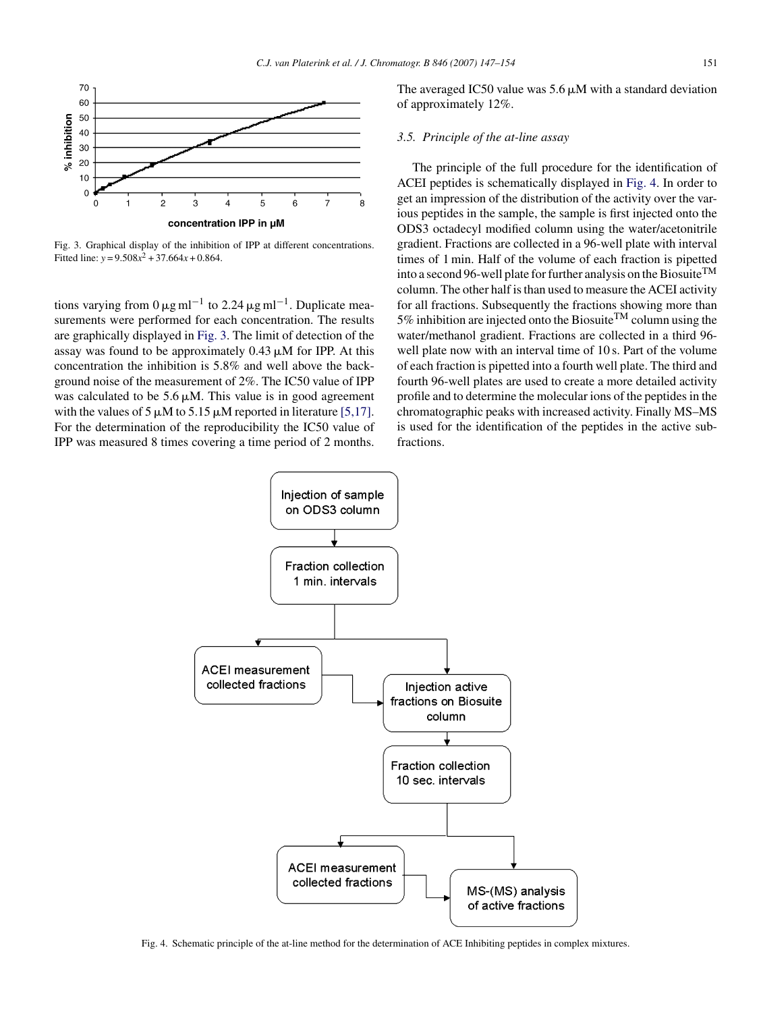

Fig. 3. Graphical display of the inhibition of IPP at different concentrations. Fitted line:  $y = 9.508x^2 + 37.664x + 0.864$ .

tions varying from  $0 \mu g$  ml<sup>-1</sup> to 2.24  $\mu g$  ml<sup>-1</sup>. Duplicate measurements were performed for each concentration. The results are graphically displayed in Fig. 3. The limit of detection of the assay was found to be approximately  $0.43 \mu M$  for IPP. At this concentration the inhibition is 5.8% and well above the background noise of the measurement of 2%. The IC50 value of IPP was calculated to be  $5.6 \mu M$ . This value is in good agreement with the values of 5  $\mu$ M to 5.15  $\mu$ M reported in literature [\[5,17\].](#page-7-0) For the determination of the reproducibility the IC50 value of IPP was measured 8 times covering a time period of 2 months.

The averaged IC50 value was  $5.6 \mu M$  with a standard deviation of approximately 12%.

## *3.5. Principle of the at-line assay*

The principle of the full procedure for the identification of ACEI peptides is schematically displayed in Fig. 4. In order to get an impression of the distribution of the activity over the various peptides in the sample, the sample is first injected onto the ODS3 octadecyl modified column using the water/acetonitrile gradient. Fractions are collected in a 96-well plate with interval times of 1 min. Half of the volume of each fraction is pipetted into a second 96-well plate for further analysis on the Biosuite<sup>TM</sup> column. The other half is than used to measure the ACEI activity for all fractions. Subsequently the fractions showing more than 5% inhibition are injected onto the Biosuite<sup>TM</sup> column using the water/methanol gradient. Fractions are collected in a third 96 well plate now with an interval time of 10 s. Part of the volume of each fraction is pipetted into a fourth well plate. The third and fourth 96-well plates are used to create a more detailed activity profile and to determine the molecular ions of the peptides in the chromatographic peaks with increased activity. Finally MS–MS is used for the identification of the peptides in the active subfractions.



Fig. 4. Schematic principle of the at-line method for the determination of ACE Inhibiting peptides in complex mixtures.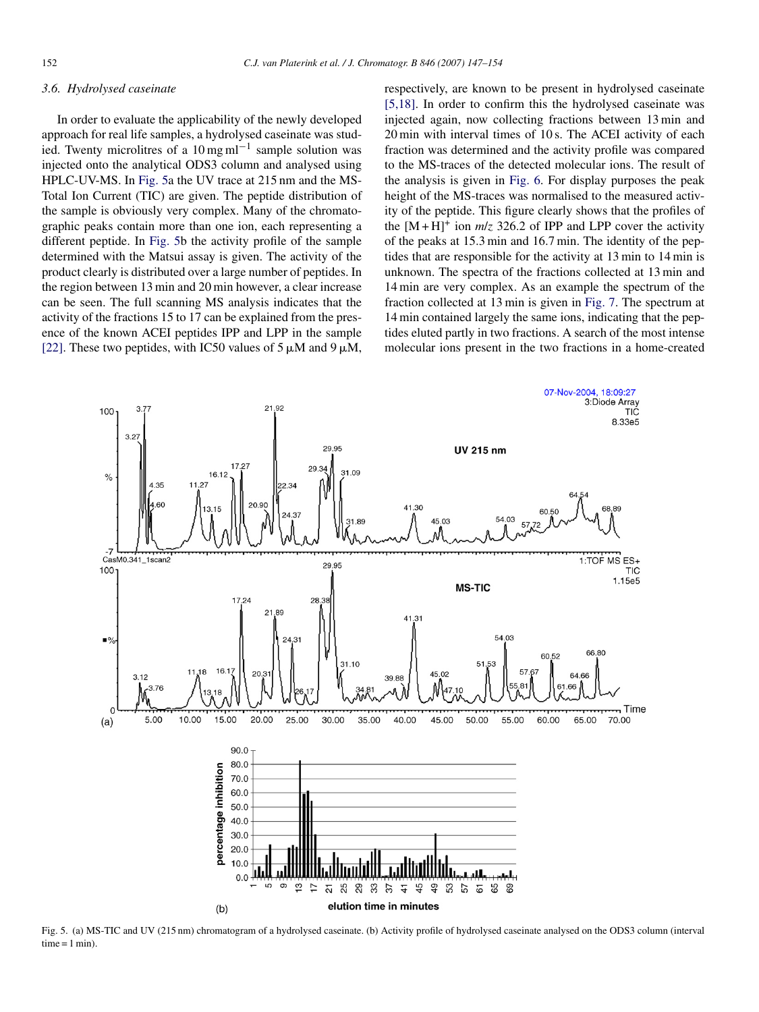## <span id="page-5-0"></span>*3.6. Hydrolysed caseinate*

In order to evaluate the applicability of the newly developed approach for real life samples, a hydrolysed caseinate was studied. Twenty microlitres of a  $10 \,\text{mg}\,\text{ml}^{-1}$  sample solution was injected onto the analytical ODS3 column and analysed using HPLC-UV-MS. In Fig. 5a the UV trace at 215 nm and the MS-Total Ion Current (TIC) are given. The peptide distribution of the sample is obviously very complex. Many of the chromatographic peaks contain more than one ion, each representing a different peptide. In Fig. 5b the activity profile of the sample determined with the Matsui assay is given. The activity of the product clearly is distributed over a large number of peptides. In the region between 13 min and 20 min however, a clear increase can be seen. The full scanning MS analysis indicates that the activity of the fractions 15 to 17 can be explained from the presence of the known ACEI peptides IPP and LPP in the sample [\[22\].](#page-7-0) These two peptides, with IC50 values of 5  $\mu$ M and 9  $\mu$ M,

respectively, are known to be present in hydrolysed caseinate [\[5,18\].](#page-7-0) In order to confirm this the hydrolysed caseinate was injected again, now collecting fractions between 13 min and 20 min with interval times of 10 s. The ACEI activity of each fraction was determined and the activity profile was compared to the MS-traces of the detected molecular ions. The result of the analysis is given in [Fig. 6.](#page-6-0) For display purposes the peak height of the MS-traces was normalised to the measured activity of the peptide. This figure clearly shows that the profiles of the  $[M + H]^{+}$  ion  $m/z$  326.2 of IPP and LPP cover the activity of the peaks at 15.3 min and 16.7 min. The identity of the peptides that are responsible for the activity at 13 min to 14 min is unknown. The spectra of the fractions collected at 13 min and 14 min are very complex. As an example the spectrum of the fraction collected at 13 min is given in [Fig. 7.](#page-6-0) The spectrum at 14 min contained largely the same ions, indicating that the peptides eluted partly in two fractions. A search of the most intense molecular ions present in the two fractions in a home-created



Fig. 5. (a) MS-TIC and UV (215 nm) chromatogram of a hydrolysed caseinate. (b) Activity profile of hydrolysed caseinate analysed on the ODS3 column (interval  $time = 1 min$ ).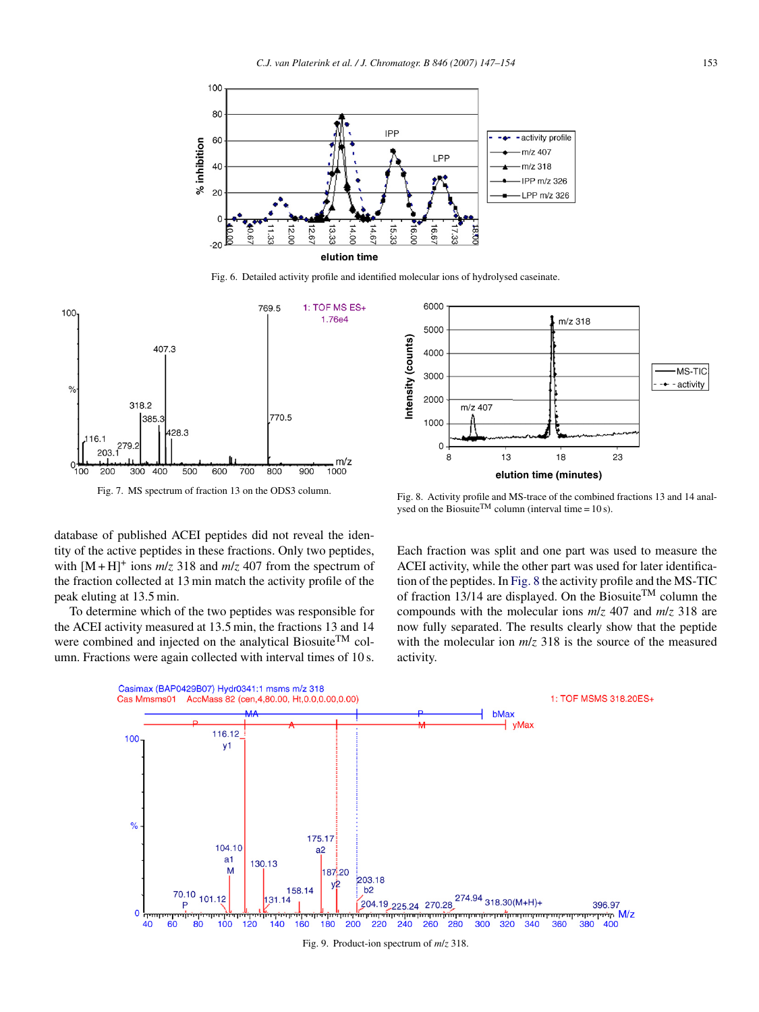<span id="page-6-0"></span>

Fig. 6. Detailed activity profile and identified molecular ions of hydrolysed caseinate.



Fig. 7. MS spectrum of fraction 13 on the ODS3 column.

database of published ACEI peptides did not reveal the identity of the active peptides in these fractions. Only two peptides, with  $[M + H]$ <sup>+</sup> ions  $m/z$  318 and  $m/z$  407 from the spectrum of the fraction collected at 13 min match the activity profile of the peak eluting at 13.5 min.

To determine which of the two peptides was responsible for the ACEI activity measured at 13.5 min, the fractions 13 and 14 were combined and injected on the analytical Biosuite<sup>TM</sup> column. Fractions were again collected with interval times of 10 s.



Fig. 8. Activity profile and MS-trace of the combined fractions 13 and 14 analysed on the Biosuite<sup>TM</sup> column (interval time =  $10 s$ ).

Each fraction was split and one part was used to measure the ACEI activity, while the other part was used for later identification of the peptides. In Fig. 8 the activity profile and the MS-TIC of fraction 13/14 are displayed. On the Biosuite<sup>TM</sup> column the compounds with the molecular ions *m*/*z* 407 and *m*/*z* 318 are now fully separated. The results clearly show that the peptide with the molecular ion  $m/z$  318 is the source of the measured activity.



Fig. 9. Product-ion spectrum of *m*/*z* 318.